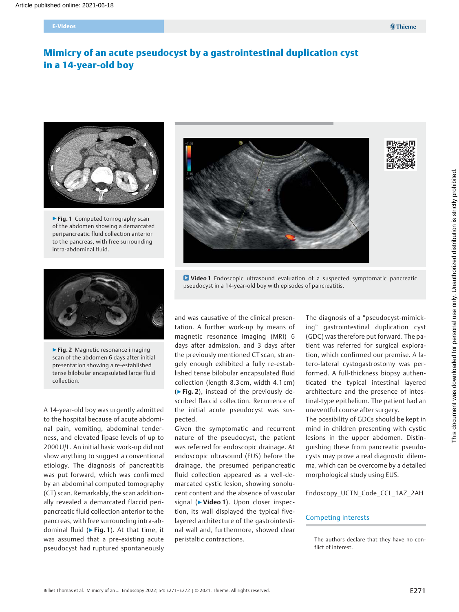# Mimicry of an acute pseudocyst by a gastrointestinal duplication cyst in a 14-year-old boy



▶ Fig. 1 Computed tomography scan of the abdomen showing a demarcated peripancreatic fluid collection anterior to the pancreas, with free surrounding intra-abdominal fluid.



**D** Video 1 Endoscopic ultrasound evaluation of a suspected symptomatic pancreatic pseudocyst in a 14-year-old boy with episodes of pancreatitis.



▶ Fig. 2 Magnetic resonance imaging scan of the abdomen 6 days after initial presentation showing a re-established tense bilobular encapsulated large fluid collection.

A 14-year-old boy was urgently admitted to the hospital because of acute abdominal pain, vomiting, abdominal tenderness, and elevated lipase levels of up to 2000 U/L. An initial basic work-up did not show anything to suggest a conventional etiology. The diagnosis of pancreatitis was put forward, which was confirmed by an abdominal computed tomography (CT) scan. Remarkably, the scan additionally revealed a demarcated flaccid peripancreatic fluid collection anterior to the pancreas, with free surrounding intra-abdominal fluid ( $\blacktriangleright$  Fig. 1). At that time, it was assumed that a pre-existing acute pseudocyst had ruptured spontaneously

and was causative of the clinical presentation. A further work-up by means of magnetic resonance imaging (MRI) 6 days after admission, and 3 days after the previously mentioned CT scan, strangely enough exhibited a fully re-established tense bilobular encapsulated fluid collection (length 8.3 cm, width 4.1 cm)  $(Fiq. 2)$ , instead of the previously described flaccid collection. Recurrence of the initial acute pseudocyst was suspected.

Given the symptomatic and recurrent nature of the pseudocyst, the patient was referred for endoscopic drainage. At endoscopic ultrasound (EUS) before the drainage, the presumed peripancreatic fluid collection appeared as a well-demarcated cystic lesion, showing sonolucent content and the absence of vascular signal (▶Video 1). Upon closer inspection, its wall displayed the typical fivelayered architecture of the gastrointestinal wall and, furthermore, showed clear peristaltic contractions.

The diagnosis of a "pseudocyst-mimicking" gastrointestinal duplication cyst (GDC) was therefore put forward. The patient was referred for surgical exploration, which confirmed our premise. A latero-lateral cystogastrostomy was performed. A full-thickness biopsy authenticated the typical intestinal layered architecture and the presence of intestinal-type epithelium. The patient had an uneventful course after surgery.

The possibility of GDCs should be kept in mind in children presenting with cystic lesions in the upper abdomen. Distinguishing these from pancreatic pseudocysts may prove a real diagnostic dilemma, which can be overcome by a detailed morphological study using EUS.

Endoscopy\_UCTN\_Code\_CCL\_1AZ\_2AH

#### Competing interests

The authors declare that they have no conflict of interest.